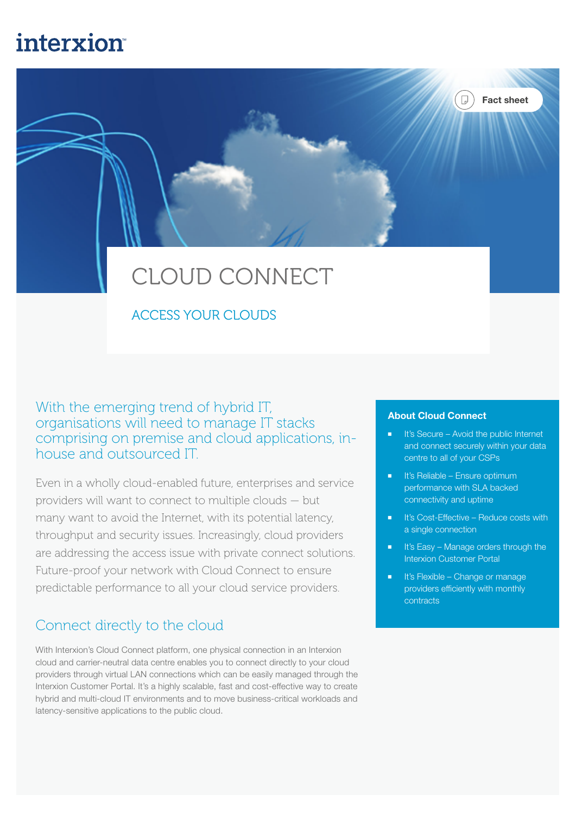## **interxion**

# CLOUD CONNECT

## ACCESS YOUR CLOUDS

With the emerging trend of hybrid IT, organisations will need to manage IT stacks comprising on premise and cloud applications, inhouse and outsourced IT.

Even in a wholly cloud-enabled future, enterprises and service providers will want to connect to multiple clouds — but many want to avoid the Internet, with its potential latency, throughput and security issues. Increasingly, cloud providers are addressing the access issue with private connect solutions. Future-proof your network with Cloud Connect to ensure predictable performance to all your cloud service providers.

## Connect directly to the cloud

With Interxion's Cloud Connect platform, one physical connection in an Interxion cloud and carrier-neutral data centre enables you to connect directly to your cloud providers through virtual LAN connections which can be easily managed through the Interxion Customer Portal. It's a highly scalable, fast and cost-effective way to create hybrid and multi-cloud IT environments and to move business-critical workloads and latency-sensitive applications to the public cloud.

#### About Cloud Connect

■ It's Secure – Avoid the public Internet and connect securely within your data centre to all of your CSPs

Fact sheet

 $\Box$ )

- It's Reliable Ensure optimum performance with SLA backed connectivity and uptime
- It's Cost-Effective Reduce costs with a single connection
- It's Easy Manage orders through the Interxion Customer Portal
- It's Flexible Change or manage providers efficiently with monthly contracts